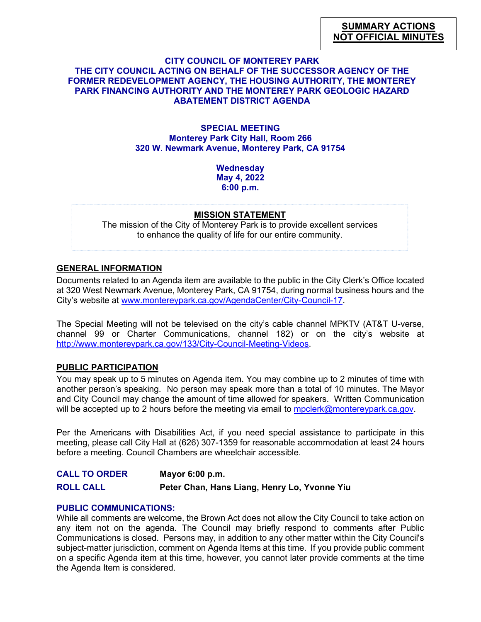### **CITY COUNCIL OF MONTEREY PARK THE CITY COUNCIL ACTING ON BEHALF OF THE SUCCESSOR AGENCY OF THE FORMER REDEVELOPMENT AGENCY, THE HOUSING AUTHORITY, THE MONTEREY PARK FINANCING AUTHORITY AND THE MONTEREY PARK GEOLOGIC HAZARD ABATEMENT DISTRICT AGENDA**

### **SPECIAL MEETING Monterey Park City Hall, Room 266 320 W. Newmark Avenue, Monterey Park, CA 91754**

**Wednesday May 4, 2022 6:00 p.m.**

#### **MISSION STATEMENT**

The mission of the City of Monterey Park is to provide excellent services to enhance the quality of life for our entire community.

# **GENERAL INFORMATION**

Documents related to an Agenda item are available to the public in the City Clerk's Office located at 320 West Newmark Avenue, Monterey Park, CA 91754, during normal business hours and the City's website at [www.montereypark.ca.gov/AgendaCenter/City-Council-17.](http://www.montereypark.ca.gov/AgendaCenter/City-Council-17)

The Special Meeting will not be televised on the city's cable channel MPKTV (AT&T U-verse, channel 99 or Charter Communications, channel 182) or on the city's website at [http://www.montereypark.ca.gov/133/City-Council-Meeting-Videos.](http://www.montereypark.ca.gov/133/City-Council-Meeting-Videos)

# **PUBLIC PARTICIPATION**

You may speak up to 5 minutes on Agenda item. You may combine up to 2 minutes of time with another person's speaking. No person may speak more than a total of 10 minutes. The Mayor and City Council may change the amount of time allowed for speakers. Written Communication will be accepted up to 2 hours before the meeting via email to [mpclerk@montereypark.ca.gov.](mailto:mpclerk@montereypark.ca.gov)

Per the Americans with Disabilities Act, if you need special assistance to participate in this meeting, please call City Hall at (626) 307-1359 for reasonable accommodation at least 24 hours before a meeting. Council Chambers are wheelchair accessible.

**CALL TO ORDER Mayor 6:00 p.m. ROLL CALL Peter Chan, Hans Liang, Henry Lo, Yvonne Yiu**

# **PUBLIC COMMUNICATIONS:**

While all comments are welcome, the Brown Act does not allow the City Council to take action on any item not on the agenda. The Council may briefly respond to comments after Public Communications is closed. Persons may, in addition to any other matter within the City Council's subject-matter jurisdiction, comment on Agenda Items at this time. If you provide public comment on a specific Agenda item at this time, however, you cannot later provide comments at the time the Agenda Item is considered.